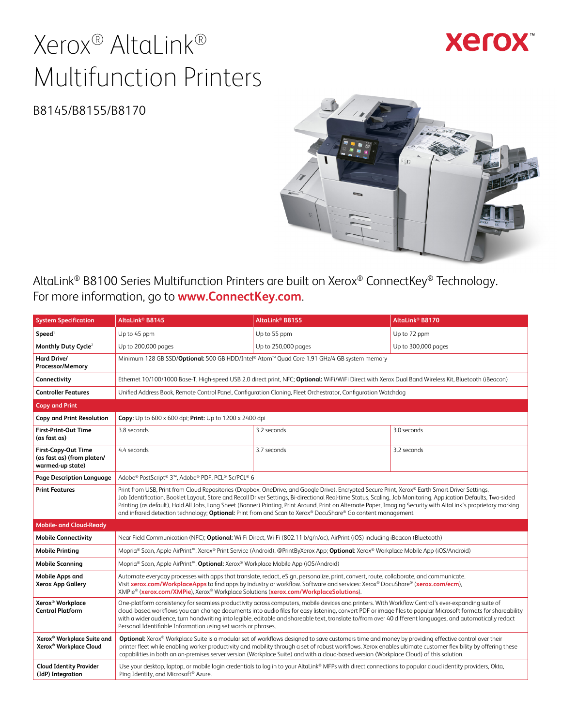# Xerox® AltaLink® Multifunction Printers

**Xerox** 

B8145/B8155/B8170



AltaLink® B8100 Series Multifunction Printers are built on Xerox® ConnectKey® Technology. For more information, go to **[www.ConnectKey.com](http://www.ConnectKey.com)**.

| <b>System Specification</b>                                                  | AltaLink <sup>®</sup> B8145                                                                                                                                                                                                                                                                                                                                                                                                                                                                                                                                                                                   | AltaLink <sup>®</sup> B8155                                                                                                                               | AltaLink <sup>®</sup> B8170 |  |
|------------------------------------------------------------------------------|---------------------------------------------------------------------------------------------------------------------------------------------------------------------------------------------------------------------------------------------------------------------------------------------------------------------------------------------------------------------------------------------------------------------------------------------------------------------------------------------------------------------------------------------------------------------------------------------------------------|-----------------------------------------------------------------------------------------------------------------------------------------------------------|-----------------------------|--|
| Speed <sup>1</sup>                                                           | Up to 45 ppm                                                                                                                                                                                                                                                                                                                                                                                                                                                                                                                                                                                                  | Up to 55 ppm                                                                                                                                              | Up to 72 ppm                |  |
| Monthly Duty Cycle <sup>2</sup>                                              | Up to 200,000 pages                                                                                                                                                                                                                                                                                                                                                                                                                                                                                                                                                                                           | Up to 250,000 pages                                                                                                                                       | Up to 300,000 pages         |  |
| Hard Drive/<br>Processor/Memory                                              | Minimum 128 GB SSD/Optional: 500 GB HDD/Intel® Atom™ Quad Core 1.91 GHz/4 GB system memory                                                                                                                                                                                                                                                                                                                                                                                                                                                                                                                    |                                                                                                                                                           |                             |  |
| Connectivity                                                                 |                                                                                                                                                                                                                                                                                                                                                                                                                                                                                                                                                                                                               | Ethernet 10/100/1000 Base-T, High-speed USB 2.0 direct print, NFC; Optional: WiFi/WiFi Direct with Xerox Dual Band Wireless Kit, Bluetooth (iBeacon)      |                             |  |
| <b>Controller Features</b>                                                   |                                                                                                                                                                                                                                                                                                                                                                                                                                                                                                                                                                                                               | Unified Address Book, Remote Control Panel, Configuration Cloning, Fleet Orchestrator, Configuration Watchdog                                             |                             |  |
| <b>Copy and Print</b>                                                        |                                                                                                                                                                                                                                                                                                                                                                                                                                                                                                                                                                                                               |                                                                                                                                                           |                             |  |
| <b>Copy and Print Resolution</b>                                             | Copy: Up to 600 x 600 dpi; Print: Up to 1200 x 2400 dpi                                                                                                                                                                                                                                                                                                                                                                                                                                                                                                                                                       |                                                                                                                                                           |                             |  |
| <b>First-Print-Out Time</b><br>(as fast as)                                  | 3.8 seconds                                                                                                                                                                                                                                                                                                                                                                                                                                                                                                                                                                                                   | 3.2 seconds                                                                                                                                               | 3.0 seconds                 |  |
| First-Copy-Out Time<br>(as fast as) (from platen/<br>warmed-up state)        | 4.4 seconds                                                                                                                                                                                                                                                                                                                                                                                                                                                                                                                                                                                                   | 3.7 seconds                                                                                                                                               | 3.2 seconds                 |  |
| Page Description Language                                                    | Adobe® PostScript® 3™, Adobe® PDF, PCL® 5c/PCL® 6                                                                                                                                                                                                                                                                                                                                                                                                                                                                                                                                                             |                                                                                                                                                           |                             |  |
| <b>Print Features</b>                                                        | Print from USB, Print from Cloud Repositories (Dropbox, OneDrive, and Google Drive), Encrypted Secure Print, Xerox® Earth Smart Driver Settings,<br>Job Identification, Booklet Layout, Store and Recall Driver Settings, Bi-directional Real-time Status, Scaling, Job Monitoring, Application Defaults, Two-sided<br>Printing (as default), Hold All Jobs, Long Sheet (Banner) Printing, Print Around, Print on Alternate Paper, Imaging Security with AltaLink's proprietary marking<br>and infrared detection technology; <b>Optional:</b> Print from and Scan to Xerox® DocuShare® Go content management |                                                                                                                                                           |                             |  |
| <b>Mobile- and Cloud-Ready</b>                                               |                                                                                                                                                                                                                                                                                                                                                                                                                                                                                                                                                                                                               |                                                                                                                                                           |                             |  |
| <b>Mobile Connectivity</b>                                                   | Near Field Communication (NFC); Optional: Wi-Fi Direct, Wi-Fi (802.11 b/q/n/ac), AirPrint (iOS) including iBeacon (Bluetooth)                                                                                                                                                                                                                                                                                                                                                                                                                                                                                 |                                                                                                                                                           |                             |  |
| <b>Mobile Printing</b>                                                       | Mopria® Scan, Apple AirPrint <sup>™</sup> , Xerox® Print Service (Android), @PrintByXerox App; Optional: Xerox® Workplace Mobile App (iOS/Android)                                                                                                                                                                                                                                                                                                                                                                                                                                                            |                                                                                                                                                           |                             |  |
| Mobile Scanning                                                              |                                                                                                                                                                                                                                                                                                                                                                                                                                                                                                                                                                                                               | Mopria <sup>®</sup> Scan, Apple AirPrint <sup>™</sup> , <b>Optional:</b> Xerox <sup>®</sup> Workplace Mobile App (iOS/Android)                            |                             |  |
| <b>Mobile Apps and</b><br><b>Xerox App Gallery</b>                           | Automate everyday processes with apps that translate, redact, eSign, personalize, print, convert, route, collaborate, and communicate.<br>Visit xerox.com/WorkplaceApps to find apps by industry or workflow. Software and services: Xerox® DocuShare® (xerox.com/ecm),<br>XMPie® (xerox.com/XMPie), Xerox® Workplace Solutions (xerox.com/WorkplaceSolutions).                                                                                                                                                                                                                                               |                                                                                                                                                           |                             |  |
| Xerox <sup>®</sup> Workplace<br><b>Central Platform</b>                      | One-platform consistency for seamless productivity across computers, mobile devices and printers. With Workflow Central's ever-expanding suite of<br>cloud-based workflows you can change documents into audio files for easy listening, convert PDF or image files to popular Microsoft formats for shareability<br>with a wider audience, turn handwriting into legible, editable and shareable text, translate to/from over 40 different languages, and automatically redact<br>Personal Identifiable Information using set words or phrases.                                                              |                                                                                                                                                           |                             |  |
| Xerox <sup>®</sup> Workplace Suite and<br>Xerox <sup>®</sup> Workplace Cloud | Optional: Xerox® Workplace Suite is a modular set of workflows designed to save customers time and money by providing effective control over their<br>printer fleet while enabling worker productivity and mobility through a set of robust workflows. Xerox enables ultimate customer flexibility by offering these<br>capabilities in both an on-premises server version (Workplace Suite) and with a cloud-based version (Workplace Cloud) of this solution.                                                                                                                                               |                                                                                                                                                           |                             |  |
| <b>Cloud Identity Provider</b><br>(IdP) Integration                          | Ping Identity, and Microsoft <sup>®</sup> Azure.                                                                                                                                                                                                                                                                                                                                                                                                                                                                                                                                                              | Use your desktop, laptop, or mobile login credentials to log in to your AltaLink® MFPs with direct connections to popular cloud identity providers, Okta, |                             |  |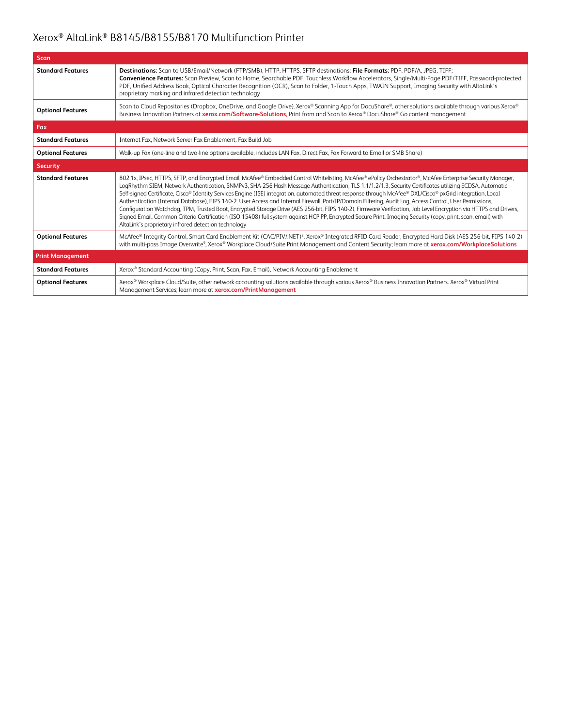| Scan                     |                                                                                                                                                                                                                                                                                                                                                                                                                                                                                                                                                                                                                                                                                                                                                                                                                                                                                                                                                                                                                                             |
|--------------------------|---------------------------------------------------------------------------------------------------------------------------------------------------------------------------------------------------------------------------------------------------------------------------------------------------------------------------------------------------------------------------------------------------------------------------------------------------------------------------------------------------------------------------------------------------------------------------------------------------------------------------------------------------------------------------------------------------------------------------------------------------------------------------------------------------------------------------------------------------------------------------------------------------------------------------------------------------------------------------------------------------------------------------------------------|
| <b>Standard Features</b> | Destinations: Scan to USB/Email/Network (FTP/SMB), HTTP, HTTPS, SFTP destinations; File Formats: PDF, PDF/A, JPEG, TIFF;<br>Convenience Features: Scan Preview, Scan to Home, Searchable PDF, Touchless Workflow Accelerators, Single/Multi-Page PDF/TIFF, Password-protected<br>PDF, Unified Address Book, Optical Character Recognition (OCR), Scan to Folder, 1-Touch Apps, TWAIN Support, Imaging Security with AltaLink's<br>proprietary marking and infrared detection technology                                                                                                                                                                                                                                                                                                                                                                                                                                                                                                                                                     |
| <b>Optional Features</b> | Scan to Cloud Repositories (Dropbox, OneDrive, and Google Drive). Xerox® Scanning App for DocuShare®, other solutions available through various Xerox®<br>Business Innovation Partners at xerox.com/Software-Solutions, Print from and Scan to Xerox® DocuShare® Go content management                                                                                                                                                                                                                                                                                                                                                                                                                                                                                                                                                                                                                                                                                                                                                      |
| Fax                      |                                                                                                                                                                                                                                                                                                                                                                                                                                                                                                                                                                                                                                                                                                                                                                                                                                                                                                                                                                                                                                             |
| <b>Standard Features</b> | Internet Fax, Network Server Fax Enablement, Fax Build Job                                                                                                                                                                                                                                                                                                                                                                                                                                                                                                                                                                                                                                                                                                                                                                                                                                                                                                                                                                                  |
| <b>Optional Features</b> | Walk-up Fax (one-line and two-line options available, includes LAN Fax, Direct Fax, Fax Forward to Email or SMB Share)                                                                                                                                                                                                                                                                                                                                                                                                                                                                                                                                                                                                                                                                                                                                                                                                                                                                                                                      |
| <b>Security</b>          |                                                                                                                                                                                                                                                                                                                                                                                                                                                                                                                                                                                                                                                                                                                                                                                                                                                                                                                                                                                                                                             |
| <b>Standard Features</b> | 802.1x, IPsec, HTTPS, SFTP, and Encrypted Email, McAfee® Embedded Control Whitelisting, McAfee® ePolicy Orchestrator®, McAfee Enterprise Security Manager,<br>LogRhythm SIEM, Network Authentication, SNMPv3, SHA-256 Hash Message Authentication, TLS 1.1/1.2/1.3, Security Certificates utilizing ECDSA, Automatic<br>Self-signed Certificate, Cisco® Identity Services Engine (ISE) integration, automated threat response through McAfee® DXL/Cisco® pxGrid integration, Local<br>Authentication (Internal Database), FIPS 140-2. User Access and Internal Firewall, Port/IP/Domain Filtering, Audit Log, Access Control, User Permissions,<br>Configuration Watchdog, TPM, Trusted Boot, Encrypted Storage Drive (AES 256-bit, FIPS 140-2), Firmware Verification, Job Level Encryption via HTTPS and Drivers,<br>Signed Email, Common Criteria Certification (ISO 15408) full system against HCP PP, Encrypted Secure Print, Imaging Security (copy, print, scan, email) with<br>AltaLink's proprietary infrared detection technology |
| <b>Optional Features</b> | McAfee® Integrity Control, Smart Card Enablement Kit (CAC/PIV/.NET) <sup>3</sup> , Xerox® Integrated RFID Card Reader, Encrypted Hard Disk (AES 256-bit, FIPS 140-2)<br>with multi-pass Image Overwrite <sup>9</sup> , Xerox® Workplace Cloud/Suite Print Management and Content Security; learn more at xerox.com/WorkplaceSolutions                                                                                                                                                                                                                                                                                                                                                                                                                                                                                                                                                                                                                                                                                                       |
| <b>Print Management</b>  |                                                                                                                                                                                                                                                                                                                                                                                                                                                                                                                                                                                                                                                                                                                                                                                                                                                                                                                                                                                                                                             |
| <b>Standard Features</b> | Xerox® Standard Accounting (Copy, Print, Scan, Fax, Email), Network Accounting Enablement                                                                                                                                                                                                                                                                                                                                                                                                                                                                                                                                                                                                                                                                                                                                                                                                                                                                                                                                                   |
| <b>Optional Features</b> | Xerox® Workplace Cloud/Suite, other network accounting solutions available through various Xerox® Business Innovation Partners. Xerox® Virtual Print<br>Management Services; learn more at <b>xerox.com/PrintManagement</b>                                                                                                                                                                                                                                                                                                                                                                                                                                                                                                                                                                                                                                                                                                                                                                                                                 |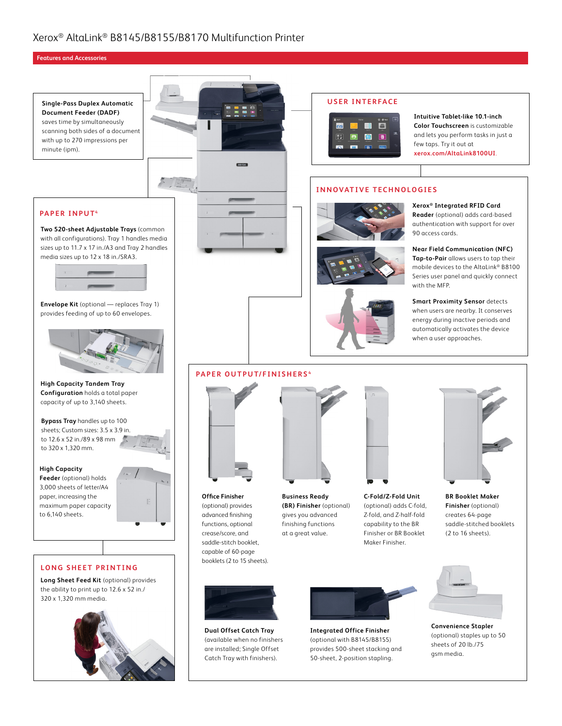#### **Features and Accessories**

**PAPER INPUT4**

**Single-Pass Duplex Automatic Document Feeder (DADF)** saves time by simultaneously scanning both sides of a document with up to 270 impressions per minute (ipm).





#### **USER INTERFACE**



**Intuitive Tablet-like 10.1-inch Color Touchscreen** is customizable and lets you perform tasks in just a few taps. Try it out at **[xerox.com/AltaLink8100UI](https://www.xerox.com/AltaLink8100UI)**.

#### **INNOVATIVE TECHNOLOGIES**





**Xerox® Integrated RFID Card** 

**Reader** (optional) adds card-based authentication with support for over 90 access cards.

**Near Field Communication (NFC) Tap-to-Pair** allows users to tap their mobile devices to the AltaLink® B8100 Series user panel and quickly connect with the MFP.

**Smart Proximity Sensor** detects when users are nearby. It conserves energy during inactive periods and automatically activates the device when a user approaches.





**Two 520-sheet Adjustable Trays** (common with all configurations). Tray 1 handles media sizes up to 11.7 x 17 in./A3 and Tray 2 handles media sizes up to 12 x 18 in./SRA3.

**High Capacity Tandem Tray Configuration** holds a total paper capacity of up to 3,140 sheets.

**Bypass Tray** handles up to 100 sheets; Custom sizes: 3.5 x 3.9 in. to 12.6 x 52 in./89 x 98 mm to 320 x 1,320 mm.

#### **High Capacity**

**Feeder** (optional) holds 3,000 sheets of letter/A4 paper, increasing the maximum paper capacity to 6,140 sheets.



#### **LONG SHEET PRINTING**

**Long Sheet Feed Kit** (optional) provides the ability to print up to 12.6 x 52 in./ 320 x 1,320 mm media.





**Office Finisher**  (optional) provides advanced finishing functions, optional crease/score, and saddle-stitch booklet, capable of 60-page booklets (2 to 15 sheets). **Business Ready (BR) Finisher** (optional) gives you advanced finishing functions at a great value.



**C-Fold/Z-Fold Unit** (optional) adds C-fold, Z-fold, and Z-half-fold capability to the BR Finisher or BR Booklet Maker Finisher.



**BR Booklet Maker Finisher** (optional) creates 64-page saddle-stitched booklets (2 to 16 sheets).



**Dual Offset Catch Tray** (available when no finishers are installed; Single Offset Catch Tray with finishers).



**Integrated Office Finisher** (optional with B8145/B8155) provides 500-sheet stacking and 50-sheet, 2-position stapling.



**Convenience Stapler** (optional) staples up to 50 sheets of 20 lb./75 gsm media.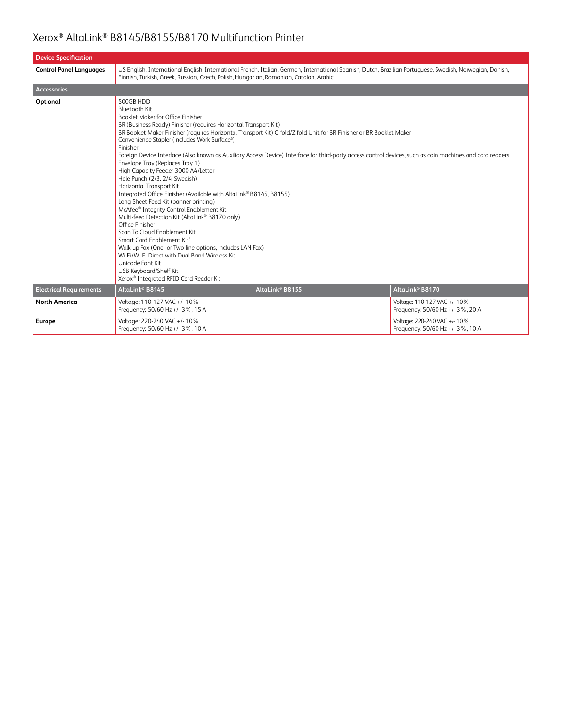| <b>Device Specification</b>    |                                                                                                                                                                                                                                                                                                                                                                                                                                                                                                                                                                                                                                                                                                                                                                                                                                                                                                                                                                                                                                                                                                                                                                          |  |  |  |
|--------------------------------|--------------------------------------------------------------------------------------------------------------------------------------------------------------------------------------------------------------------------------------------------------------------------------------------------------------------------------------------------------------------------------------------------------------------------------------------------------------------------------------------------------------------------------------------------------------------------------------------------------------------------------------------------------------------------------------------------------------------------------------------------------------------------------------------------------------------------------------------------------------------------------------------------------------------------------------------------------------------------------------------------------------------------------------------------------------------------------------------------------------------------------------------------------------------------|--|--|--|
| <b>Control Panel Languages</b> | US English, International English, International French, Italian, German, International Spanish, Dutch, Brazilian Portuguese, Swedish, Norwegian, Danish,<br>Finnish, Turkish, Greek, Russian, Czech, Polish, Hungarian, Romanian, Catalan, Arabic                                                                                                                                                                                                                                                                                                                                                                                                                                                                                                                                                                                                                                                                                                                                                                                                                                                                                                                       |  |  |  |
| <b>Accessories</b>             |                                                                                                                                                                                                                                                                                                                                                                                                                                                                                                                                                                                                                                                                                                                                                                                                                                                                                                                                                                                                                                                                                                                                                                          |  |  |  |
| Optional                       | 500GB HDD<br><b>Bluetooth Kit</b><br>Booklet Maker for Office Finisher<br>BR (Business Ready) Finisher (requires Horizontal Transport Kit)<br>BR Booklet Maker Finisher (requires Horizontal Transport Kit) C-fold/Z-fold Unit for BR Finisher or BR Booklet Maker<br>Convenience Stapler (includes Work Surface <sup>5</sup> )<br>Finisher<br>Foreign Device Interface (Also known as Auxiliary Access Device) Interface for third-party access control devices, such as coin machines and card readers<br>Envelope Tray (Replaces Tray 1)<br>High Capacity Feeder 3000 A4/Letter<br>Hole Punch (2/3, 2/4, Swedish)<br>Horizontal Transport Kit<br>Integrated Office Finisher (Available with AltaLink® B8145, B8155)<br>Long Sheet Feed Kit (banner printing)<br>McAfee® Integrity Control Enablement Kit<br>Multi-feed Detection Kit (AltaLink® B8170 only)<br>Office Finisher<br>Scan To Cloud Enablement Kit<br>Smart Card Enablement Kit <sup>3</sup><br>Walk-up Fax (One- or Two-line options, includes LAN Fax)<br>Wi-Fi/Wi-Fi Direct with Dual Band Wireless Kit<br>Unicode Font Kit<br><b>USB Keyboard/Shelf Kit</b><br>Xerox® Integrated RFID Card Reader Kit |  |  |  |
| <b>Electrical Requirements</b> | AltaLink <sup>®</sup> B8155<br>AltaLink <sup>®</sup> B8170<br>AltaLink <sup>®</sup> B8145                                                                                                                                                                                                                                                                                                                                                                                                                                                                                                                                                                                                                                                                                                                                                                                                                                                                                                                                                                                                                                                                                |  |  |  |
| <b>North America</b>           | Voltage: 110-127 VAC +/- 10%<br>Voltage: 110-127 VAC +/-10%<br>Frequency: 50/60 Hz +/- 3%, 20 A<br>Frequency: 50/60 Hz +/- 3%, 15 A                                                                                                                                                                                                                                                                                                                                                                                                                                                                                                                                                                                                                                                                                                                                                                                                                                                                                                                                                                                                                                      |  |  |  |
| Europe                         | Voltage: 220-240 VAC +/- 10%<br>Voltage: 220-240 VAC +/- 10%<br>Frequency: 50/60 Hz +/- 3%, 10 A<br>Frequency: 50/60 Hz +/- 3%, 10 A                                                                                                                                                                                                                                                                                                                                                                                                                                                                                                                                                                                                                                                                                                                                                                                                                                                                                                                                                                                                                                     |  |  |  |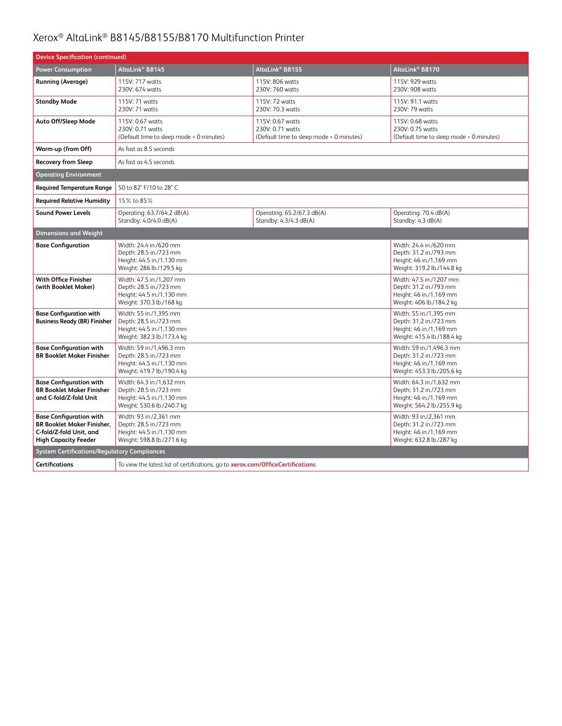| <b>Device Specification (continued)</b>                                                                                       |                                                                                                                                                                                                                              |                                                                                  |                                                                                                         |  |
|-------------------------------------------------------------------------------------------------------------------------------|------------------------------------------------------------------------------------------------------------------------------------------------------------------------------------------------------------------------------|----------------------------------------------------------------------------------|---------------------------------------------------------------------------------------------------------|--|
| <b>Power Consumption</b>                                                                                                      | AltaLink® B8145                                                                                                                                                                                                              | AltaLink <sup>®</sup> B8155                                                      | AltaLink® B8170                                                                                         |  |
| <b>Running (Average)</b>                                                                                                      | 115V: 717 watts<br>230V: 674 watts                                                                                                                                                                                           | 115V: 806 watts<br>230V: 760 watts                                               | 115V: 929 watts<br>230V: 908 watts                                                                      |  |
| <b>Standby Mode</b>                                                                                                           | 115V: 71 watts<br>230V: 71 watts                                                                                                                                                                                             | 115V: 72 watts<br>230V: 70.3 watts                                               | 115V: 91.1 watts<br>230V: 79 watts                                                                      |  |
| Auto Off/Sleep Mode                                                                                                           | 115V: 0.67 watts<br>230V: 0.71 watts<br>(Default time to sleep mode = 0 minutes)                                                                                                                                             | 115V: 0.67 watts<br>230V: 0.71 watts<br>(Default time to sleep mode = 0 minutes) | 115V: 0.68 watts<br>230V: 0.75 watts<br>(Default time to sleep mode = 0 minutes)                        |  |
| Warm-up (from Off)                                                                                                            | As fast as 8.5 seconds                                                                                                                                                                                                       |                                                                                  |                                                                                                         |  |
| <b>Recovery from Sleep</b>                                                                                                    | As fast as 4.5 seconds                                                                                                                                                                                                       |                                                                                  |                                                                                                         |  |
| <b>Operating Environment</b>                                                                                                  |                                                                                                                                                                                                                              |                                                                                  |                                                                                                         |  |
| <b>Required Temperature Range</b>                                                                                             | 50 to 82° F/10 to 28° C                                                                                                                                                                                                      |                                                                                  |                                                                                                         |  |
| <b>Required Relative Humidity</b>                                                                                             | 15% to 85%                                                                                                                                                                                                                   |                                                                                  |                                                                                                         |  |
| <b>Sound Power Levels</b>                                                                                                     | Operating: 63.7/64.2 dB(A)<br>Standby: 4.0/4.0 dB(A)                                                                                                                                                                         | Operating: 70.4 dB(A)<br>Standby: 4.3 dB(A)                                      |                                                                                                         |  |
| <b>Dimensions and Weight</b>                                                                                                  |                                                                                                                                                                                                                              |                                                                                  |                                                                                                         |  |
| <b>Base Configuration</b>                                                                                                     | Width: 24.4 in./620 mm<br>Width: 24.4 in./620 mm<br>Depth: 28.5 in./723 mm<br>Depth: 31.2 in./793 mm<br>Height: 44.5 in./1,130 mm<br>Height: 46 in./1,169 mm<br>Weight: 286 lb./129.5 kg<br>Weight: 319.2 lb./144.8 kg       |                                                                                  |                                                                                                         |  |
| With Office Finisher<br>(with Booklet Maker)                                                                                  | Width: 47.5 in./1,207 mm<br>Width: 47.5 in./1207 mm<br>Depth: 28.5 in./723 mm<br>Depth: 31.2 in./793 mm<br>Height: 44.5 in./1,130 mm<br>Height: 46 in./1,169 mm<br>Weight: 370.3 lb./168 kg<br>Weight: 406 lb./184.2 kg      |                                                                                  |                                                                                                         |  |
| <b>Base Configuration with</b><br><b>Business Ready (BR) Finisher</b>                                                         | Width: 55 in./1,395 mm<br>Width: 55 in./1,395 mm<br>Depth: 28.5 in./723 mm<br>Depth: 31.2 in./723 mm<br>Height: 44.5 in./1,130 mm<br>Height: 46 in./1,169 mm<br>Weight: 382.3 lb./173.4 kg<br>Weight: 415.4 lb./188.4 kg     |                                                                                  |                                                                                                         |  |
| <b>Base Configuration with</b><br><b>BR Booklet Maker Finisher</b>                                                            | Width: 59 in./1,496.3 mm<br>Width: 59 in./1,496.3 mm<br>Depth: 28.5 in./723 mm<br>Depth: 31.2 in./723 mm<br>Height: 44.5 in./1,130 mm<br>Height: 46 in./1,169 mm<br>Weight: 453.3 lb./205.6 kg<br>Weight: 419.7 lb./190.4 kg |                                                                                  |                                                                                                         |  |
| <b>Base Configuration with</b><br><b>BR Booklet Maker Finisher</b><br>and C-fold/Z-fold Unit                                  | Width: 64.3 in./1,632 mm<br>Width: 64.3 in./1,632 mm<br>Depth: 28.5 in./723 mm<br>Depth: 31.2 in./723 mm<br>Height: 44.5 in./1,130 mm<br>Height: 46 in./1,169 mm<br>Weight: 530.6 lb./240.7 kg<br>Weight: 564.2 lb./255.9 kg |                                                                                  |                                                                                                         |  |
| <b>Base Configuration with</b><br><b>BR Booklet Maker Finisher,</b><br>C-fold/Z-fold Unit, and<br><b>High Capacity Feeder</b> | Width: 93 in./2,361 mm<br>Depth: 28.5 in./723 mm<br>Height: 44.5 in./1,130 mm<br>Weight: 598.8 lb./271.6 kg                                                                                                                  |                                                                                  | Width: 93 in./2,361 mm<br>Depth: 31.2 in./723 mm<br>Height: 46 in./1,169 mm<br>Weight: 632.8 lb./287 kg |  |
| <b>System Certifications/Regulatory Compliances</b>                                                                           |                                                                                                                                                                                                                              |                                                                                  |                                                                                                         |  |
| <b>Certifications</b>                                                                                                         | To view the latest list of certifications, go to xerox.com/OfficeCertifications                                                                                                                                              |                                                                                  |                                                                                                         |  |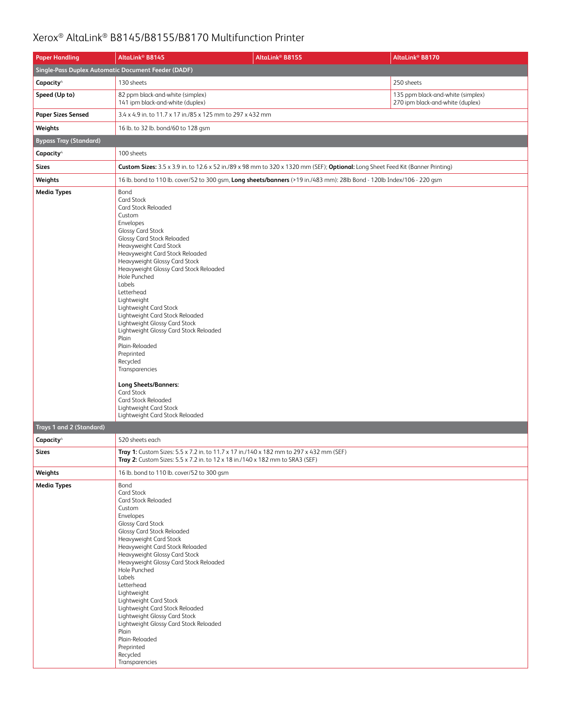| <b>Paper Handling</b>         | AltaLink <sup>®</sup> B8145                                                                                                                                                                                                                                                                                                                                                                                                                                                                                                                                                                                                                                                             | AltaLink <sup>®</sup> B8155                                                                                                     | AltaLink <sup>®</sup> B8170                                           |  |  |  |
|-------------------------------|-----------------------------------------------------------------------------------------------------------------------------------------------------------------------------------------------------------------------------------------------------------------------------------------------------------------------------------------------------------------------------------------------------------------------------------------------------------------------------------------------------------------------------------------------------------------------------------------------------------------------------------------------------------------------------------------|---------------------------------------------------------------------------------------------------------------------------------|-----------------------------------------------------------------------|--|--|--|
|                               | Single-Pass Duplex Automatic Document Feeder (DADF)                                                                                                                                                                                                                                                                                                                                                                                                                                                                                                                                                                                                                                     |                                                                                                                                 |                                                                       |  |  |  |
| Capacity <sup>4</sup>         | 130 sheets                                                                                                                                                                                                                                                                                                                                                                                                                                                                                                                                                                                                                                                                              |                                                                                                                                 | 250 sheets                                                            |  |  |  |
| Speed (Up to)                 | 82 ppm black-and-white (simplex)<br>141 ipm black-and-white (duplex)                                                                                                                                                                                                                                                                                                                                                                                                                                                                                                                                                                                                                    |                                                                                                                                 | 135 ppm black-and-white (simplex)<br>270 ipm black-and-white (duplex) |  |  |  |
| <b>Paper Sizes Sensed</b>     | 3.4 x 4.9 in. to 11.7 x 17 in./85 x 125 mm to 297 x 432 mm                                                                                                                                                                                                                                                                                                                                                                                                                                                                                                                                                                                                                              |                                                                                                                                 |                                                                       |  |  |  |
| Weights                       | 16 lb. to 32 lb. bond/60 to 128 gsm                                                                                                                                                                                                                                                                                                                                                                                                                                                                                                                                                                                                                                                     |                                                                                                                                 |                                                                       |  |  |  |
| <b>Bypass Tray (Standard)</b> |                                                                                                                                                                                                                                                                                                                                                                                                                                                                                                                                                                                                                                                                                         |                                                                                                                                 |                                                                       |  |  |  |
| Capacity <sup>4</sup>         | 100 sheets                                                                                                                                                                                                                                                                                                                                                                                                                                                                                                                                                                                                                                                                              |                                                                                                                                 |                                                                       |  |  |  |
| <b>Sizes</b>                  |                                                                                                                                                                                                                                                                                                                                                                                                                                                                                                                                                                                                                                                                                         | Custom Sizes: 3.5 x 3.9 in. to 12.6 x 52 in./89 x 98 mm to 320 x 1320 mm (SEF); Optional: Long Sheet Feed Kit (Banner Printing) |                                                                       |  |  |  |
| Weights                       |                                                                                                                                                                                                                                                                                                                                                                                                                                                                                                                                                                                                                                                                                         | 16 lb. bond to 110 lb. cover/52 to 300 gsm, Long sheets/banners (>19 in./483 mm): 28lb Bond - 120lb Index/106 - 220 gsm         |                                                                       |  |  |  |
| <b>Media Types</b>            | Bond<br><b>Card Stock</b><br>Card Stock Reloaded<br>Custom<br>Envelopes<br><b>Glossy Card Stock</b><br>Glossy Card Stock Reloaded<br>Heavyweight Card Stock<br>Heavyweight Card Stock Reloaded<br>Heavyweight Glossy Card Stock<br>Heavyweight Glossy Card Stock Reloaded<br>Hole Punched<br>Labels<br>Letterhead<br>Lightweight<br>Lightweight Card Stock<br>Lightweight Card Stock Reloaded<br>Lightweight Glossy Card Stock<br>Lightweight Glossy Card Stock Reloaded<br>Plain<br>Plain-Reloaded<br>Preprinted<br>Recycled<br>Transparencies<br><b>Long Sheets/Banners:</b><br><b>Card Stock</b><br>Card Stock Reloaded<br>Lightweight Card Stock<br>Lightweight Card Stock Reloaded |                                                                                                                                 |                                                                       |  |  |  |
| Trays 1 and 2 (Standard)      |                                                                                                                                                                                                                                                                                                                                                                                                                                                                                                                                                                                                                                                                                         |                                                                                                                                 |                                                                       |  |  |  |
| Capacity <sup>4</sup>         | 520 sheets each                                                                                                                                                                                                                                                                                                                                                                                                                                                                                                                                                                                                                                                                         |                                                                                                                                 |                                                                       |  |  |  |
| <b>Sizes</b>                  | Tray 1: Custom Sizes: 5.5 x 7.2 in. to 11.7 x 17 in./140 x 182 mm to 297 x 432 mm (SEF)<br>Tray 2: Custom Sizes: 5.5 x 7.2 in. to 12 x 18 in./140 x 182 mm to SRA3 (SEF)                                                                                                                                                                                                                                                                                                                                                                                                                                                                                                                |                                                                                                                                 |                                                                       |  |  |  |
| Weights                       | 16 lb. bond to 110 lb. cover/52 to 300 gsm                                                                                                                                                                                                                                                                                                                                                                                                                                                                                                                                                                                                                                              |                                                                                                                                 |                                                                       |  |  |  |
| <b>Media Types</b>            | Bond<br>Card Stock<br>Card Stock Reloaded<br>Custom<br>Envelopes<br><b>Glossy Card Stock</b><br>Glossy Card Stock Reloaded<br>Heavyweight Card Stock<br>Heavyweight Card Stock Reloaded<br>Heavyweight Glossy Card Stock<br>Heavyweight Glossy Card Stock Reloaded<br>Hole Punched<br><b>Labels</b><br>Letterhead<br>Lightweight<br>Lightweight Card Stock<br>Lightweight Card Stock Reloaded<br>Lightweight Glossy Card Stock<br>Lightweight Glossy Card Stock Reloaded<br>Plain<br>Plain-Reloaded<br>Preprinted<br>Recycled<br>Transparencies                                                                                                                                         |                                                                                                                                 |                                                                       |  |  |  |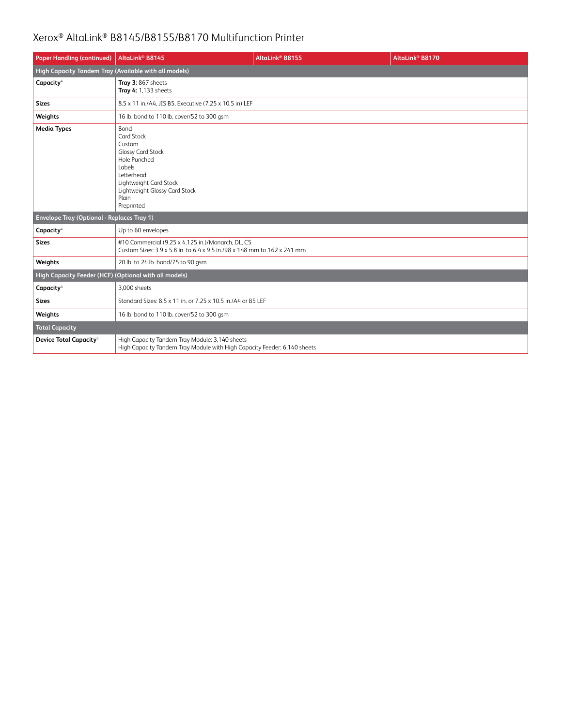| <b>Paper Handling (continued)</b>                     | AltaLink <sup>®</sup> B8145                                                                                                                                                               | AltaLink <sup>®</sup> B8155 | AltaLink <sup>®</sup> B8170 |  |  |
|-------------------------------------------------------|-------------------------------------------------------------------------------------------------------------------------------------------------------------------------------------------|-----------------------------|-----------------------------|--|--|
|                                                       | High Capacity Tandem Tray (Available with all models)                                                                                                                                     |                             |                             |  |  |
| Capacity <sup>4</sup>                                 | Tray 3: 867 sheets<br>Tray 4: 1,133 sheets                                                                                                                                                |                             |                             |  |  |
| <b>Sizes</b>                                          | 8.5 x 11 in./A4, JIS B5, Executive (7.25 x 10.5 in) LEF                                                                                                                                   |                             |                             |  |  |
| Weights                                               | 16 lb. bond to 110 lb. cover/52 to 300 gsm                                                                                                                                                |                             |                             |  |  |
| <b>Media Types</b>                                    | Bond<br>Card Stock<br>Custom<br><b>Glossy Card Stock</b><br>Hole Punched<br><b>Labels</b><br>Letterhead<br>Lightweight Card Stock<br>Lightweight Glossy Card Stock<br>Plain<br>Preprinted |                             |                             |  |  |
| <b>Envelope Tray (Optional - Replaces Tray 1)</b>     |                                                                                                                                                                                           |                             |                             |  |  |
| Capacity <sup>4</sup>                                 | Up to 60 envelopes                                                                                                                                                                        |                             |                             |  |  |
| <b>Sizes</b>                                          | #10 Commercial (9.25 x 4.125 in.)/Monarch, DL, C5<br>Custom Sizes: 3.9 x 5.8 in, to 6.4 x 9.5 in./98 x 148 mm to 162 x 241 mm                                                             |                             |                             |  |  |
| Weights                                               | 20 lb. to 24 lb. bond/75 to 90 gsm                                                                                                                                                        |                             |                             |  |  |
| High Capacity Feeder (HCF) (Optional with all models) |                                                                                                                                                                                           |                             |                             |  |  |
| Capacity <sup>4</sup>                                 | 3.000 sheets                                                                                                                                                                              |                             |                             |  |  |
| <b>Sizes</b>                                          | Standard Sizes: 8.5 x 11 in. or 7.25 x 10.5 in./A4 or B5 LEF                                                                                                                              |                             |                             |  |  |
| Weights                                               | 16 lb. bond to 110 lb. cover/52 to 300 gsm                                                                                                                                                |                             |                             |  |  |
| <b>Total Capacity</b>                                 |                                                                                                                                                                                           |                             |                             |  |  |
| <b>Device Total Capacity<sup>4</sup></b>              | High Capacity Tandem Tray Module: 3,140 sheets<br>High Capacity Tandem Tray Module with High Capacity Feeder: 6,140 sheets                                                                |                             |                             |  |  |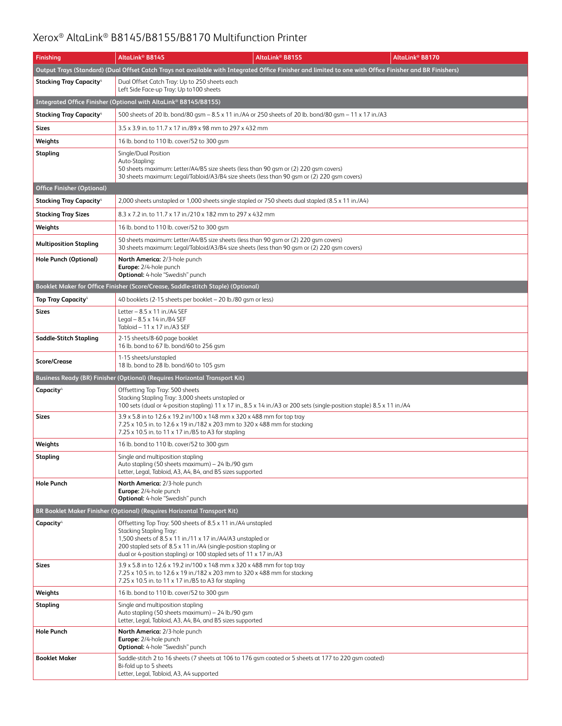| <b>Finishing</b>                           | AltaLink® B8145                                                                                                                                                                                                                                                                                  | AltaLink® B8155                                                                                                                                          | AltaLink <sup>®</sup> B8170 |  |
|--------------------------------------------|--------------------------------------------------------------------------------------------------------------------------------------------------------------------------------------------------------------------------------------------------------------------------------------------------|----------------------------------------------------------------------------------------------------------------------------------------------------------|-----------------------------|--|
|                                            |                                                                                                                                                                                                                                                                                                  | Output Trays (Standard) (Dual Offset Catch Trays not available with Integrated Office Finisher and limited to one with Office Finisher and BR Finishers) |                             |  |
| <b>Stacking Tray Capacity</b> <sup>4</sup> | Dual Offset Catch Tray: Up to 250 sheets each<br>Left Side Face-up Tray: Up to 100 sheets                                                                                                                                                                                                        |                                                                                                                                                          |                             |  |
|                                            | Integrated Office Finisher (Optional with AltaLink® B8145/B8155)                                                                                                                                                                                                                                 |                                                                                                                                                          |                             |  |
| <b>Stacking Tray Capacity<sup>4</sup></b>  |                                                                                                                                                                                                                                                                                                  | 500 sheets of 20 lb. bond/80 gsm - 8.5 x 11 in./A4 or 250 sheets of 20 lb. bond/80 gsm - 11 x 17 in./A3                                                  |                             |  |
| Sizes                                      | 3.5 x 3.9 in. to 11.7 x 17 in./89 x 98 mm to 297 x 432 mm                                                                                                                                                                                                                                        |                                                                                                                                                          |                             |  |
| Weights                                    | 16 lb. bond to 110 lb. cover/52 to 300 gsm                                                                                                                                                                                                                                                       |                                                                                                                                                          |                             |  |
| Stapling                                   | Single/Dual Position<br>Auto-Stapling:<br>50 sheets maximum: Letter/A4/B5 size sheets (less than 90 gsm or (2) 220 gsm covers)<br>30 sheets maximum: Legal/Tabloid/A3/B4 size sheets (less than 90 gsm or (2) 220 gsm covers)                                                                    |                                                                                                                                                          |                             |  |
| <b>Office Finisher (Optional)</b>          |                                                                                                                                                                                                                                                                                                  |                                                                                                                                                          |                             |  |
| <b>Stacking Tray Capacity</b> <sup>4</sup> | 2,000 sheets unstapled or 1,000 sheets single stapled or 750 sheets dual stapled (8.5 x 11 in./A4)                                                                                                                                                                                               |                                                                                                                                                          |                             |  |
| <b>Stacking Tray Sizes</b>                 | 8.3 x 7.2 in. to 11.7 x 17 in./210 x 182 mm to 297 x 432 mm                                                                                                                                                                                                                                      |                                                                                                                                                          |                             |  |
| Weights                                    | 16 lb. bond to 110 lb. cover/52 to 300 gsm                                                                                                                                                                                                                                                       |                                                                                                                                                          |                             |  |
| <b>Multiposition Stapling</b>              | 50 sheets maximum: Letter/A4/B5 size sheets (less than 90 gsm or (2) 220 gsm covers)<br>30 sheets maximum: Legal/Tabloid/A3/B4 size sheets (less than 90 qsm or (2) 220 qsm covers)                                                                                                              |                                                                                                                                                          |                             |  |
| Hole Punch (Optional)                      | North America: 2/3-hole punch<br>Europe: 2/4-hole punch<br><b>Optional:</b> 4-hole "Swedish" punch                                                                                                                                                                                               |                                                                                                                                                          |                             |  |
|                                            | Booklet Maker for Office Finisher (Score/Crease, Saddle-stitch Staple) (Optional)                                                                                                                                                                                                                |                                                                                                                                                          |                             |  |
| <b>Top Tray Capacity</b> <sup>4</sup>      | 40 booklets (2-15 sheets per booklet - 20 lb./80 gsm or less)                                                                                                                                                                                                                                    |                                                                                                                                                          |                             |  |
| Sizes                                      | Letter $-8.5 \times 11$ in./A4 SEF<br>Legal $-8.5 \times 14$ in./B4 SEF<br>Tabloid - 11 x 17 in./A3 SEF                                                                                                                                                                                          |                                                                                                                                                          |                             |  |
| Saddle-Stitch Stapling                     | 2-15 sheets/8-60 page booklet<br>16 lb. bond to 67 lb. bond/60 to 256 gsm                                                                                                                                                                                                                        |                                                                                                                                                          |                             |  |
| <b>Score/Crease</b>                        | 1-15 sheets/unstapled<br>18 lb. bond to 28 lb. bond/60 to 105 gsm                                                                                                                                                                                                                                |                                                                                                                                                          |                             |  |
|                                            | Business Ready (BR) Finisher (Optional) (Requires Horizontal Transport Kit)                                                                                                                                                                                                                      |                                                                                                                                                          |                             |  |
| Capacity <sup>4</sup>                      | Offsetting Top Tray: 500 sheets<br>Stacking Stapling Tray: 3,000 sheets unstapled or                                                                                                                                                                                                             | 100 sets (dual or 4-position stapling) 11 x 17 in., 8.5 x 14 in./A3 or 200 sets (single-position staple) 8.5 x 11 in./A4                                 |                             |  |
| Sizes                                      | 3.9 x 5.8 in to 12.6 x 19.2 in/100 x 148 mm x 320 x 488 mm for top tray<br>7.25 x 10.5 in. to 12.6 x 19 in./182 x 203 mm to 320 x 488 mm for stacking<br>7.25 x 10.5 in. to 11 x 17 in./B5 to A3 for stapling                                                                                    |                                                                                                                                                          |                             |  |
| Weights                                    | 16 lb. bond to 110 lb. cover/52 to 300 gsm                                                                                                                                                                                                                                                       |                                                                                                                                                          |                             |  |
| Stapling                                   | Single and multiposition stapling<br>Auto stapling (50 sheets maximum) - 24 lb./90 gsm<br>Letter, Legal, Tabloid, A3, A4, B4, and B5 sizes supported                                                                                                                                             |                                                                                                                                                          |                             |  |
| <b>Hole Punch</b>                          | North America: 2/3-hole punch<br>Europe: 2/4-hole punch<br>Optional: 4-hole "Swedish" punch                                                                                                                                                                                                      |                                                                                                                                                          |                             |  |
|                                            | BR Booklet Maker Finisher (Optional) (Requires Horizontal Transport Kit)                                                                                                                                                                                                                         |                                                                                                                                                          |                             |  |
| Capacity <sup>4</sup>                      | Offsetting Top Tray: 500 sheets of 8.5 x 11 in./A4 unstapled<br>Stacking Stapling Tray:<br>1,500 sheets of 8.5 x 11 in./11 x 17 in./A4/A3 unstapled or<br>200 stapled sets of 8.5 x 11 in./A4 (single-position stapling or<br>dual or 4-position stapling) or 100 stapled sets of 11 x 17 in./A3 |                                                                                                                                                          |                             |  |
| Sizes                                      | 3.9 x 5.8 in to 12.6 x 19.2 in/100 x 148 mm x 320 x 488 mm for top tray<br>7.25 x 10.5 in. to 12.6 x 19 in./182 x 203 mm to 320 x 488 mm for stacking<br>7.25 x 10.5 in. to 11 x 17 in./B5 to A3 for stapling                                                                                    |                                                                                                                                                          |                             |  |
| Weights                                    | 16 lb. bond to 110 lb. cover/52 to 300 gsm                                                                                                                                                                                                                                                       |                                                                                                                                                          |                             |  |
| Stapling                                   | Single and multiposition stapling<br>Auto stapling (50 sheets maximum) - 24 lb./90 gsm<br>Letter, Legal, Tabloid, A3, A4, B4, and B5 sizes supported                                                                                                                                             |                                                                                                                                                          |                             |  |
| <b>Hole Punch</b>                          | North America: 2/3-hole punch<br>Europe: 2/4-hole punch<br><b>Optional:</b> 4-hole "Swedish" punch                                                                                                                                                                                               |                                                                                                                                                          |                             |  |
| <b>Booklet Maker</b>                       | Bi-fold up to 5 sheets<br>Letter, Legal, Tabloid, A3, A4 supported                                                                                                                                                                                                                               | Saddle-stitch 2 to 16 sheets (7 sheets at 106 to 176 gsm coated or 5 sheets at 177 to 220 gsm coated)                                                    |                             |  |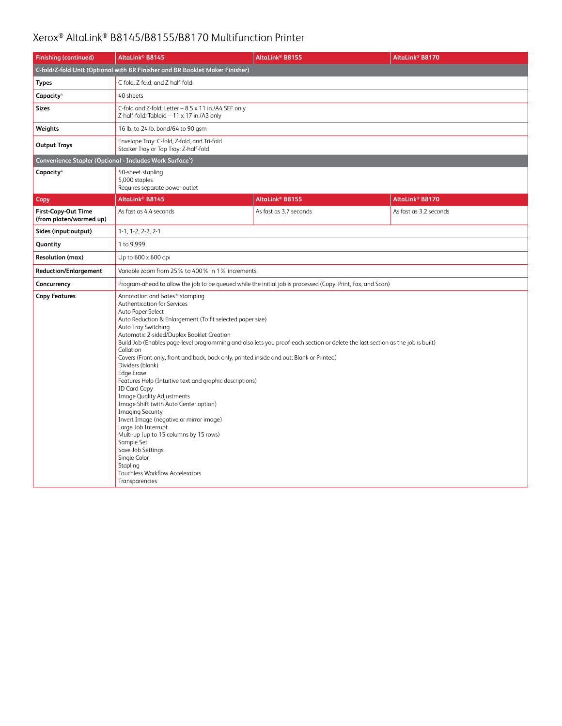| <b>Finishing (continued)</b>                                         | AltaLink® B8145                                                                                                                                                                                                                                                                                                                                                                                                                                                                                                                                                                                                                                                                                                                                                                                                                                                                                                                          | AltaLink® B8155        | AltaLink <sup>®</sup> B8170 |  |
|----------------------------------------------------------------------|------------------------------------------------------------------------------------------------------------------------------------------------------------------------------------------------------------------------------------------------------------------------------------------------------------------------------------------------------------------------------------------------------------------------------------------------------------------------------------------------------------------------------------------------------------------------------------------------------------------------------------------------------------------------------------------------------------------------------------------------------------------------------------------------------------------------------------------------------------------------------------------------------------------------------------------|------------------------|-----------------------------|--|
|                                                                      | C-fold/Z-fold Unit (Optional with BR Finisher and BR Booklet Maker Finisher)                                                                                                                                                                                                                                                                                                                                                                                                                                                                                                                                                                                                                                                                                                                                                                                                                                                             |                        |                             |  |
| <b>Types</b>                                                         | C-fold, Z-fold, and Z-half-fold                                                                                                                                                                                                                                                                                                                                                                                                                                                                                                                                                                                                                                                                                                                                                                                                                                                                                                          |                        |                             |  |
| Capacity <sup>4</sup>                                                | 40 sheets                                                                                                                                                                                                                                                                                                                                                                                                                                                                                                                                                                                                                                                                                                                                                                                                                                                                                                                                |                        |                             |  |
| Sizes                                                                | C-fold and Z-fold: Letter - 8.5 x 11 in./A4 SEF only<br>Z-half-fold: Tabloid - 11 x 17 in./A3 only                                                                                                                                                                                                                                                                                                                                                                                                                                                                                                                                                                                                                                                                                                                                                                                                                                       |                        |                             |  |
| Weights                                                              | 16 lb. to 24 lb. bond/64 to 90 gsm                                                                                                                                                                                                                                                                                                                                                                                                                                                                                                                                                                                                                                                                                                                                                                                                                                                                                                       |                        |                             |  |
| <b>Output Trays</b>                                                  | Envelope Tray: C-fold, Z-fold, and Tri-fold<br>Stacker Tray or Top Tray: Z-half-fold                                                                                                                                                                                                                                                                                                                                                                                                                                                                                                                                                                                                                                                                                                                                                                                                                                                     |                        |                             |  |
| Convenience Stapler (Optional - Includes Work Surface <sup>5</sup> ) |                                                                                                                                                                                                                                                                                                                                                                                                                                                                                                                                                                                                                                                                                                                                                                                                                                                                                                                                          |                        |                             |  |
| Capacity <sup>4</sup>                                                | 50-sheet stapling<br>5,000 staples<br>Requires separate power outlet                                                                                                                                                                                                                                                                                                                                                                                                                                                                                                                                                                                                                                                                                                                                                                                                                                                                     |                        |                             |  |
| Copy                                                                 | AltaLink® B8145                                                                                                                                                                                                                                                                                                                                                                                                                                                                                                                                                                                                                                                                                                                                                                                                                                                                                                                          | AltaLink® B8155        | AltaLink <sup>®</sup> B8170 |  |
| <b>First-Copy-Out Time</b><br>(from platen/warmed up)                | As fast as 4.4 seconds                                                                                                                                                                                                                                                                                                                                                                                                                                                                                                                                                                                                                                                                                                                                                                                                                                                                                                                   | As fast as 3.7 seconds | As fast as 3.2 seconds      |  |
| Sides (input:output)                                                 | $1-1, 1-2, 2-2, 2-1$                                                                                                                                                                                                                                                                                                                                                                                                                                                                                                                                                                                                                                                                                                                                                                                                                                                                                                                     |                        |                             |  |
| Quantity                                                             | 1 to 9,999                                                                                                                                                                                                                                                                                                                                                                                                                                                                                                                                                                                                                                                                                                                                                                                                                                                                                                                               |                        |                             |  |
| <b>Resolution (max)</b>                                              | Up to 600 x 600 dpi                                                                                                                                                                                                                                                                                                                                                                                                                                                                                                                                                                                                                                                                                                                                                                                                                                                                                                                      |                        |                             |  |
| <b>Reduction/Enlargement</b>                                         | Variable zoom from 25% to 400% in 1% increments                                                                                                                                                                                                                                                                                                                                                                                                                                                                                                                                                                                                                                                                                                                                                                                                                                                                                          |                        |                             |  |
| Concurrency                                                          | Program-ahead to allow the job to be queued while the initial job is processed (Copy, Print, Fax, and Scan)                                                                                                                                                                                                                                                                                                                                                                                                                                                                                                                                                                                                                                                                                                                                                                                                                              |                        |                             |  |
| <b>Copy Features</b>                                                 | Annotation and Bates™ stamping<br>Authentication for Services<br>Auto Paper Select<br>Auto Reduction & Enlargement (To fit selected paper size)<br>Auto Tray Switching<br>Automatic 2-sided/Duplex Booklet Creation<br>Build Job (Enables page-level programming and also lets you proof each section or delete the last section as the job is built)<br>Collation<br>Covers (Front only, front and back, back only, printed inside and out: Blank or Printed)<br>Dividers (blank)<br><b>Edge Erase</b><br>Features Help (Intuitive text and graphic descriptions)<br><b>ID Card Copy</b><br><b>Image Quality Adjustments</b><br>Image Shift (with Auto Center option)<br><b>Imaging Security</b><br>Invert Image (negative or mirror image)<br>Large Job Interrupt<br>Multi-up (up to 15 columns by 15 rows)<br>Sample Set<br>Save Job Settings<br>Single Color<br>Stapling<br><b>Touchless Workflow Accelerators</b><br>Transparencies |                        |                             |  |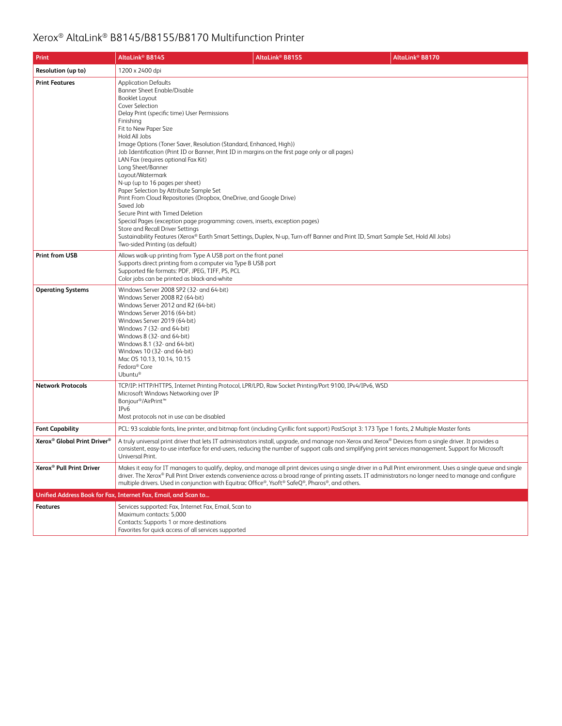| Print                                               | AltaLink <sup>®</sup> B8145                                                                                                                                                                                                                                                                                                                                                                                                                                                                                | AltaLink <sup>®</sup> B8155                                                                                                                                                                                                                                                                                                                                                                                                                                         | AltaLink® B8170                                                                                                                                                                                                                                                                                                                |
|-----------------------------------------------------|------------------------------------------------------------------------------------------------------------------------------------------------------------------------------------------------------------------------------------------------------------------------------------------------------------------------------------------------------------------------------------------------------------------------------------------------------------------------------------------------------------|---------------------------------------------------------------------------------------------------------------------------------------------------------------------------------------------------------------------------------------------------------------------------------------------------------------------------------------------------------------------------------------------------------------------------------------------------------------------|--------------------------------------------------------------------------------------------------------------------------------------------------------------------------------------------------------------------------------------------------------------------------------------------------------------------------------|
| Resolution (up to)                                  | 1200 x 2400 dpi                                                                                                                                                                                                                                                                                                                                                                                                                                                                                            |                                                                                                                                                                                                                                                                                                                                                                                                                                                                     |                                                                                                                                                                                                                                                                                                                                |
| <b>Print Features</b>                               | <b>Application Defaults</b><br><b>Banner Sheet Enable/Disable</b><br><b>Booklet Layout</b><br>Cover Selection<br>Delay Print (specific time) User Permissions<br>Finishing<br>Fit to New Paper Size<br>Hold All Jobs<br>LAN Fax (requires optional Fax Kit)<br>Long Sheet/Banner<br>Layout/Watermark<br>N-up (up to 16 pages per sheet)<br>Paper Selection by Attribute Sample Set<br>Saved Job<br>Secure Print with Timed Deletion<br>Store and Recall Driver Settings<br>Two-sided Printing (as default) | Image Options (Toner Saver, Resolution (Standard, Enhanced, High))<br>Job Identification (Print ID or Banner, Print ID in margins on the first page only or all pages)<br>Print From Cloud Repositories (Dropbox, OneDrive, and Google Drive)<br>Special Pages (exception page programming: covers, inserts, exception pages)<br>Sustainability Features (Xerox® Earth Smart Settings, Duplex, N-up, Turn-off Banner and Print ID, Smart Sample Set, Hold All Jobs) |                                                                                                                                                                                                                                                                                                                                |
| Print from USB                                      | Allows walk-up printing from Type A USB port on the front panel<br>Supports direct printing from a computer via Type B USB port<br>Supported file formats: PDF, JPEG, TIFF, PS, PCL<br>Color jobs can be printed as black-and-white                                                                                                                                                                                                                                                                        |                                                                                                                                                                                                                                                                                                                                                                                                                                                                     |                                                                                                                                                                                                                                                                                                                                |
| <b>Operating Systems</b>                            | Windows Server 2008 SP2 (32- and 64-bit)<br>Windows Server 2008 R2 (64-bit)<br>Windows Server 2012 and R2 (64-bit)<br>Windows Server 2016 (64-bit)<br>Windows Server 2019 (64-bit)<br>Windows 7 (32- and 64-bit)<br>Windows 8 (32- and 64-bit)<br>Windows 8.1 (32- and 64-bit)<br>Windows 10 (32- and 64-bit)<br>Mac OS 10.13, 10.14, 10.15<br>Fedora <sup>®</sup> Core<br>Ubuntu®                                                                                                                         |                                                                                                                                                                                                                                                                                                                                                                                                                                                                     |                                                                                                                                                                                                                                                                                                                                |
| <b>Network Protocols</b>                            | Microsoft Windows Networking over IP<br>Bonjour®/AirPrint <sup>™</sup><br>IP <sub>v</sub> 6<br>Most protocols not in use can be disabled                                                                                                                                                                                                                                                                                                                                                                   | TCP/IP: HTTP/HTTPS, Internet Printing Protocol, LPR/LPD, Raw Socket Printing/Port 9100, IPv4/IPv6, WSD                                                                                                                                                                                                                                                                                                                                                              |                                                                                                                                                                                                                                                                                                                                |
| <b>Font Capability</b>                              |                                                                                                                                                                                                                                                                                                                                                                                                                                                                                                            | PCL: 93 scalable fonts, line printer, and bitmap font (including Cyrillic font support) PostScript 3: 173 Type 1 fonts, 2 Multiple Master fonts                                                                                                                                                                                                                                                                                                                     |                                                                                                                                                                                                                                                                                                                                |
| Xerox <sup>®</sup> Global Print Driver <sup>®</sup> | Universal Print.                                                                                                                                                                                                                                                                                                                                                                                                                                                                                           |                                                                                                                                                                                                                                                                                                                                                                                                                                                                     | A truly universal print driver that lets IT administrators install, upgrade, and manage non-Xerox and Xerox® Devices from a single driver. It provides a<br>consistent, easy-to-use interface for end-users, reducing the number of support calls and simplifying print services management. Support for Microsoft             |
| Xerox <sup>®</sup> Pull Print Driver                |                                                                                                                                                                                                                                                                                                                                                                                                                                                                                                            | multiple drivers. Used in conjunction with Equitrac Office®, Ysoft® SafeQ®, Pharos®, and others.                                                                                                                                                                                                                                                                                                                                                                    | Makes it easy for IT managers to qualify, deploy, and manage all print devices using a single driver in a Pull Print environment. Uses a single queue and single<br>driver. The Xerox® Pull Print Driver extends convenience across a broad range of printing assets. IT administrators no longer need to manage and configure |
|                                                     | Unified Address Book for Fax, Internet Fax, Email, and Scan to                                                                                                                                                                                                                                                                                                                                                                                                                                             |                                                                                                                                                                                                                                                                                                                                                                                                                                                                     |                                                                                                                                                                                                                                                                                                                                |
| <b>Features</b>                                     | Services supported: Fax, Internet Fax, Email, Scan to<br>Maximum contacts: 5,000<br>Contacts: Supports 1 or more destinations<br>Favorites for quick access of all services supported                                                                                                                                                                                                                                                                                                                      |                                                                                                                                                                                                                                                                                                                                                                                                                                                                     |                                                                                                                                                                                                                                                                                                                                |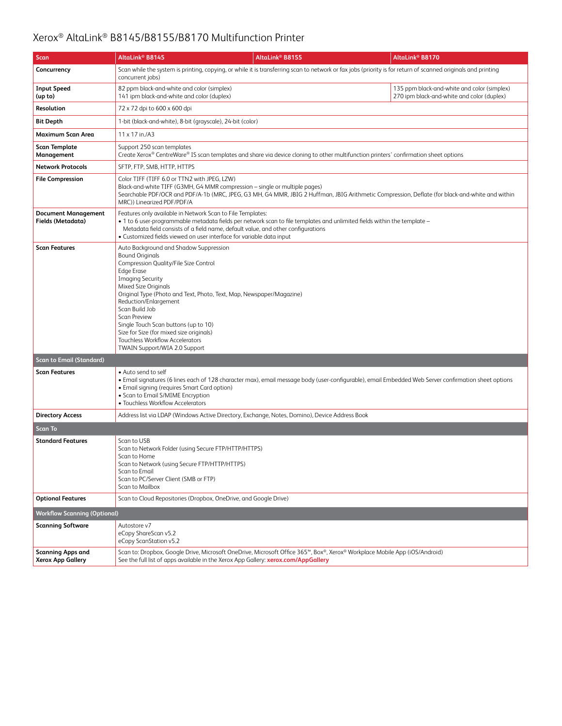| Scan                                                 | AltaLink® B8145                                                                                                                                                                                                                                                                                                                                                                                             | AltaLink® B8155                                                                                                                                                                                                  | AltaLink <sup>®</sup> B8170                                                                                                                                   |
|------------------------------------------------------|-------------------------------------------------------------------------------------------------------------------------------------------------------------------------------------------------------------------------------------------------------------------------------------------------------------------------------------------------------------------------------------------------------------|------------------------------------------------------------------------------------------------------------------------------------------------------------------------------------------------------------------|---------------------------------------------------------------------------------------------------------------------------------------------------------------|
| Concurrency                                          | concurrent jobs)                                                                                                                                                                                                                                                                                                                                                                                            |                                                                                                                                                                                                                  | Scan while the system is printing, copying, or while it is transferring scan to network or fax jobs (priority is for return of scanned originals and printing |
| <b>Input Speed</b><br>(up to)                        | 82 ppm black-and-white and color (simplex)<br>141 ipm black-and-white and color (duplex)                                                                                                                                                                                                                                                                                                                    |                                                                                                                                                                                                                  | 135 ppm black-and-white and color (simplex)<br>270 ipm black-and-white and color (duplex)                                                                     |
| Resolution                                           | 72 x 72 dpi to 600 x 600 dpi                                                                                                                                                                                                                                                                                                                                                                                |                                                                                                                                                                                                                  |                                                                                                                                                               |
| <b>Bit Depth</b>                                     | 1-bit (black-and-white), 8-bit (grayscale), 24-bit (color)                                                                                                                                                                                                                                                                                                                                                  |                                                                                                                                                                                                                  |                                                                                                                                                               |
| Maximum Scan Area                                    | 11 x 17 in./A3                                                                                                                                                                                                                                                                                                                                                                                              |                                                                                                                                                                                                                  |                                                                                                                                                               |
| <b>Scan Template</b><br>Management                   | Support 250 scan templates                                                                                                                                                                                                                                                                                                                                                                                  | Create Xerox® CentreWare® IS scan templates and share via device cloning to other multifunction printers' confirmation sheet options                                                                             |                                                                                                                                                               |
| <b>Network Protocols</b>                             | SFTP, FTP, SMB, HTTP, HTTPS                                                                                                                                                                                                                                                                                                                                                                                 |                                                                                                                                                                                                                  |                                                                                                                                                               |
| <b>File Compression</b>                              | Color TIFF (TIFF 6.0 or TTN2 with JPEG, LZW)<br>MRC)) Linearized PDF/PDF/A                                                                                                                                                                                                                                                                                                                                  | Black-and-white TIFF (G3MH, G4 MMR compression - single or multiple pages)                                                                                                                                       | Searchable PDF/OCR and PDF/A-1b (MRC, JPEG, G3 MH, G4 MMR, JBIG 2 Huffman, JBIG Arithmetic Compression, Deflate (for black-and-white and within               |
| <b>Document Management</b><br>Fields (Metadata)      | Features only available in Network Scan to File Templates:<br>• Customized fields viewed on user interface for variable data input                                                                                                                                                                                                                                                                          | • 1 to 6 user-programmable metadata fields per network scan to file templates and unlimited fields within the template -<br>Metadata field consists of a field name, default value, and other configurations     |                                                                                                                                                               |
| <b>Scan Features</b>                                 | Auto Background and Shadow Suppression<br><b>Bound Originals</b><br>Compression Quality/File Size Control<br><b>Edge Erase</b><br><b>Imaging Security</b><br>Mixed Size Originals<br>Reduction/Enlargement<br>Scan Build Job<br><b>Scan Preview</b><br>Single Touch Scan buttons (up to 10)<br>Size for Size (for mixed size originals)<br>Touchless Workflow Accelerators<br>TWAIN Support/WIA 2.0 Support | Original Type (Photo and Text, Photo, Text, Map, Newspaper/Magazine)                                                                                                                                             |                                                                                                                                                               |
| <b>Scan to Email (Standard)</b>                      |                                                                                                                                                                                                                                                                                                                                                                                                             |                                                                                                                                                                                                                  |                                                                                                                                                               |
| <b>Scan Features</b>                                 | • Auto send to self<br>• Email signing (requires Smart Card option)<br>• Scan to Email S/MIME Encryption<br>· Touchless Workflow Accelerators                                                                                                                                                                                                                                                               |                                                                                                                                                                                                                  | • Email signatures (6 lines each of 128 character max), email message body (user-configurable), email Embedded Web Server confirmation sheet options          |
| <b>Directory Access</b>                              |                                                                                                                                                                                                                                                                                                                                                                                                             | Address list via LDAP (Windows Active Directory, Exchange, Notes, Domino), Device Address Book                                                                                                                   |                                                                                                                                                               |
| <b>Scan To</b>                                       |                                                                                                                                                                                                                                                                                                                                                                                                             |                                                                                                                                                                                                                  |                                                                                                                                                               |
| <b>Standard Features</b>                             | Scan to USB<br>Scan to Network Folder (using Secure FTP/HTTP/HTTPS)<br>Scan to Home<br>Scan to Network (using Secure FTP/HTTP/HTTPS)<br>Scan to Email<br>Scan to PC/Server Client (SMB or FTP)<br>Scan to Mailbox                                                                                                                                                                                           |                                                                                                                                                                                                                  |                                                                                                                                                               |
| <b>Optional Features</b>                             | Scan to Cloud Repositories (Dropbox, OneDrive, and Google Drive)                                                                                                                                                                                                                                                                                                                                            |                                                                                                                                                                                                                  |                                                                                                                                                               |
| <b>Workflow Scanning (Optional)</b>                  |                                                                                                                                                                                                                                                                                                                                                                                                             |                                                                                                                                                                                                                  |                                                                                                                                                               |
| <b>Scanning Software</b>                             | Autostore v7<br>eCopy ShareScan v5.2<br>eCopy ScanStation v5.2                                                                                                                                                                                                                                                                                                                                              |                                                                                                                                                                                                                  |                                                                                                                                                               |
| <b>Scanning Apps and</b><br><b>Xerox App Gallery</b> |                                                                                                                                                                                                                                                                                                                                                                                                             | Scan to: Dropbox, Google Drive, Microsoft OneDrive, Microsoft Office 365™, Box®, Xerox® Workplace Mobile App (iOS/Android)<br>See the full list of apps available in the Xerox App Gallery: xerox.com/AppGallery |                                                                                                                                                               |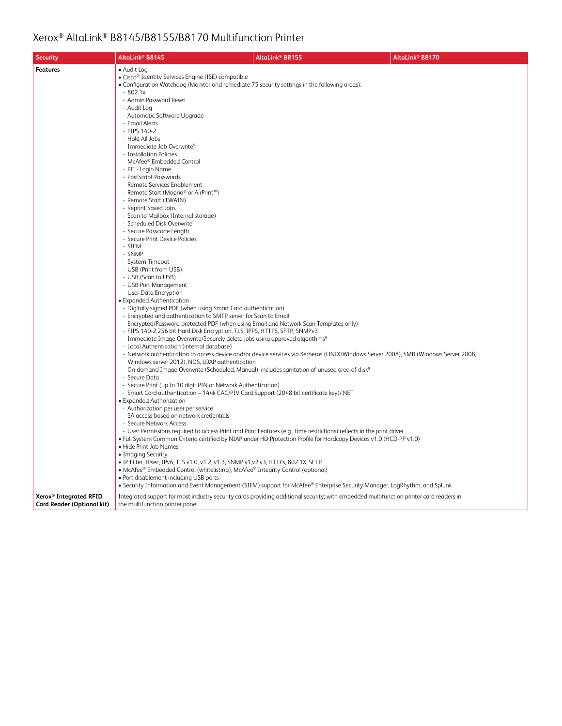| <b>Security</b>                                                         | AltaLink® B8145                                                                                                                                            | AltaLink <sup>®</sup> B8155                                                                                                            | AltaLink <sup>®</sup> B8170 |  |  |
|-------------------------------------------------------------------------|------------------------------------------------------------------------------------------------------------------------------------------------------------|----------------------------------------------------------------------------------------------------------------------------------------|-----------------------------|--|--|
| <b>Features</b>                                                         | • Audit Log                                                                                                                                                |                                                                                                                                        |                             |  |  |
|                                                                         | • Cisco® Identity Services Engine (ISE) compatible                                                                                                         |                                                                                                                                        |                             |  |  |
|                                                                         | • Configuration Watchdog (Monitor and remediate 75 security settings in the following areas):                                                              |                                                                                                                                        |                             |  |  |
|                                                                         | $-802.1x$<br>- Admin Password Reset                                                                                                                        |                                                                                                                                        |                             |  |  |
|                                                                         | - Audit Log                                                                                                                                                |                                                                                                                                        |                             |  |  |
|                                                                         | - Automatic Software Upgrade                                                                                                                               |                                                                                                                                        |                             |  |  |
|                                                                         | - Email Alerts                                                                                                                                             |                                                                                                                                        |                             |  |  |
|                                                                         | - FIPS 140-2                                                                                                                                               |                                                                                                                                        |                             |  |  |
|                                                                         | - Hold All Jobs<br>- Immediate Job Overwrite <sup>9</sup>                                                                                                  |                                                                                                                                        |                             |  |  |
|                                                                         | - Installation Policies                                                                                                                                    |                                                                                                                                        |                             |  |  |
|                                                                         | - McAfee® Embedded Control                                                                                                                                 |                                                                                                                                        |                             |  |  |
|                                                                         | - PII - Login Name                                                                                                                                         |                                                                                                                                        |                             |  |  |
|                                                                         | - PostScript Passwords                                                                                                                                     |                                                                                                                                        |                             |  |  |
|                                                                         | - Remote Services Enablement<br>- Remote Start (Mopria® or AirPrint™)                                                                                      |                                                                                                                                        |                             |  |  |
|                                                                         | - Remote Start (TWAIN)                                                                                                                                     |                                                                                                                                        |                             |  |  |
|                                                                         | - Reprint Saved Jobs                                                                                                                                       |                                                                                                                                        |                             |  |  |
|                                                                         | - Scan to Mailbox (Internal storage)                                                                                                                       |                                                                                                                                        |                             |  |  |
|                                                                         | - Scheduled Disk Overwrite <sup>9</sup>                                                                                                                    |                                                                                                                                        |                             |  |  |
|                                                                         | - Secure Passcode Length<br>- Secure Print Device Policies                                                                                                 |                                                                                                                                        |                             |  |  |
|                                                                         | - SIEM                                                                                                                                                     |                                                                                                                                        |                             |  |  |
|                                                                         | - SNMP                                                                                                                                                     |                                                                                                                                        |                             |  |  |
|                                                                         | - System Timeout                                                                                                                                           |                                                                                                                                        |                             |  |  |
|                                                                         | - USB (Print from USB)<br>- USB (Scan to USB)                                                                                                              |                                                                                                                                        |                             |  |  |
|                                                                         | - USB Port Management                                                                                                                                      |                                                                                                                                        |                             |  |  |
|                                                                         | - User Data Encryption                                                                                                                                     |                                                                                                                                        |                             |  |  |
|                                                                         | • Expanded Authentication                                                                                                                                  |                                                                                                                                        |                             |  |  |
|                                                                         | - Digitally signed PDF (when using Smart Card authentication)                                                                                              |                                                                                                                                        |                             |  |  |
|                                                                         | - Encrypted and authentication to SMTP server for Scan to Email<br>- Encrypted/Password-protected PDF (when using Email and Network Scan Templates only)   |                                                                                                                                        |                             |  |  |
|                                                                         | - FIPS 140-2 256 bit Hard Disk Encryption, TLS, IPPS, HTTPS, SFTP, SNMPv3                                                                                  |                                                                                                                                        |                             |  |  |
|                                                                         | - Immediate Image Overwrite/Securely delete jobs using approved algorithms <sup>9</sup>                                                                    |                                                                                                                                        |                             |  |  |
|                                                                         | - Local Authentication (internal database)                                                                                                                 |                                                                                                                                        |                             |  |  |
|                                                                         |                                                                                                                                                            | - Network authentication to access device and/or device services via Kerberos (UNIX/Windows Server 2008), SMB (Windows Server 2008,    |                             |  |  |
|                                                                         | Windows server 2012), NDS, LDAP authentication<br>- On-demand Image Overwrite (Scheduled, Manual), includes sanitation of unused area of disk <sup>9</sup> |                                                                                                                                        |                             |  |  |
|                                                                         | - Secure Data                                                                                                                                              |                                                                                                                                        |                             |  |  |
|                                                                         | - Secure Print (up to 10 digit PIN or Network Authentication)                                                                                              |                                                                                                                                        |                             |  |  |
|                                                                         | - Smart Card authentication - 144k CAC/PIV Card Support (2048 bit certificate key)/.NET                                                                    |                                                                                                                                        |                             |  |  |
|                                                                         | • Expanded Authorization<br>- Authorization per user per service                                                                                           |                                                                                                                                        |                             |  |  |
|                                                                         | - SA access based on network credentials                                                                                                                   |                                                                                                                                        |                             |  |  |
|                                                                         | - Secure Network Access                                                                                                                                    |                                                                                                                                        |                             |  |  |
|                                                                         |                                                                                                                                                            | - User Permissions required to access Print and Print Features (e.g., time restrictions) reflects in the print driver                  |                             |  |  |
|                                                                         | • Hide Print Job Names                                                                                                                                     | . Full System Common Criteria certified by NIAP under HD Protection Profile for Hardcopy Devices v1.0 (HCD-PP v1.0)                    |                             |  |  |
|                                                                         | • Imaging Security                                                                                                                                         |                                                                                                                                        |                             |  |  |
|                                                                         | · IP Filter, IPsec, IPv6, TLS v1.0, v1.2, v1.3, SNMP v1, v2, v3, HTTPs, 802.1X, SFTP                                                                       |                                                                                                                                        |                             |  |  |
|                                                                         | • McAfee® Embedded Control (whitelisting), McAfee® Integrity Control (optional)                                                                            |                                                                                                                                        |                             |  |  |
|                                                                         | • Port disablement including USB ports                                                                                                                     |                                                                                                                                        |                             |  |  |
|                                                                         |                                                                                                                                                            | . Security Information and Event Management (SIEM) support for McAfee® Enterprise Security Manager, LogRhythm, and Splunk              |                             |  |  |
| Xerox <sup>®</sup> Integrated RFID<br><b>Card Reader (Optional kit)</b> | the multifunction printer panel                                                                                                                            | Integrated support for most industry security cards providing additional security; with embedded multifunction printer card readers in |                             |  |  |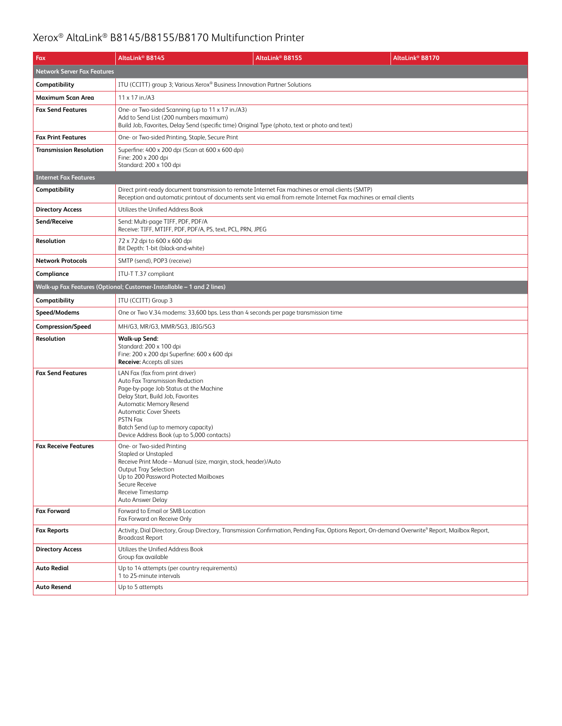| Fax                                | AltaLink <sup>®</sup> B8145                                                                                                                                                                                                                                                                                          | AltaLink® B8155                                                                                                                                             | AltaLink <sup>®</sup> B8170 |  |
|------------------------------------|----------------------------------------------------------------------------------------------------------------------------------------------------------------------------------------------------------------------------------------------------------------------------------------------------------------------|-------------------------------------------------------------------------------------------------------------------------------------------------------------|-----------------------------|--|
| <b>Network Server Fax Features</b> |                                                                                                                                                                                                                                                                                                                      |                                                                                                                                                             |                             |  |
| Compatibility                      | ITU (CCITT) group 3; Various Xerox® Business Innovation Partner Solutions                                                                                                                                                                                                                                            |                                                                                                                                                             |                             |  |
| Maximum Scan Area                  | 11 x 17 in./A3                                                                                                                                                                                                                                                                                                       |                                                                                                                                                             |                             |  |
| <b>Fax Send Features</b>           | One- or Two-sided Scanning (up to 11 x 17 in./A3)<br>Add to Send List (200 numbers maximum)<br>Build Job, Favorites, Delay Send (specific time) Original Type (photo, text or photo and text)                                                                                                                        |                                                                                                                                                             |                             |  |
| <b>Fax Print Features</b>          | One- or Two-sided Printing, Staple, Secure Print                                                                                                                                                                                                                                                                     |                                                                                                                                                             |                             |  |
| <b>Transmission Resolution</b>     | Superfine: 400 x 200 dpi (Scan at 600 x 600 dpi)<br>Fine: 200 x 200 dpi<br>Standard: 200 x 100 dpi                                                                                                                                                                                                                   |                                                                                                                                                             |                             |  |
| <b>Internet Fax Features</b>       |                                                                                                                                                                                                                                                                                                                      |                                                                                                                                                             |                             |  |
| Compatibility                      | Direct print-ready document transmission to remote Internet Fax machines or email clients (SMTP)                                                                                                                                                                                                                     | Reception and automatic printout of documents sent via email from remote Internet Fax machines or email clients                                             |                             |  |
| <b>Directory Access</b>            | Utilizes the Unified Address Book                                                                                                                                                                                                                                                                                    |                                                                                                                                                             |                             |  |
| Send/Receive                       | Send: Multi-page TIFF, PDF, PDF/A<br>Receive: TIFF, MTIFF, PDF, PDF/A, PS, text, PCL, PRN, JPEG                                                                                                                                                                                                                      |                                                                                                                                                             |                             |  |
| Resolution                         | 72 x 72 dpi to 600 x 600 dpi<br>Bit Depth: 1-bit (black-and-white)                                                                                                                                                                                                                                                   |                                                                                                                                                             |                             |  |
| <b>Network Protocols</b>           | SMTP (send), POP3 (receive)                                                                                                                                                                                                                                                                                          |                                                                                                                                                             |                             |  |
| Compliance                         | ITU-T T.37 compliant                                                                                                                                                                                                                                                                                                 |                                                                                                                                                             |                             |  |
|                                    | Walk-up Fax Features (Optional; Customer-Installable - 1 and 2 lines)                                                                                                                                                                                                                                                |                                                                                                                                                             |                             |  |
| Compatibility                      | ITU (CCITT) Group 3                                                                                                                                                                                                                                                                                                  |                                                                                                                                                             |                             |  |
| Speed/Modems                       | One or Two V.34 modems: 33,600 bps. Less than 4 seconds per page transmission time                                                                                                                                                                                                                                   |                                                                                                                                                             |                             |  |
| <b>Compression/Speed</b>           | MH/G3, MR/G3, MMR/SG3, JBIG/SG3                                                                                                                                                                                                                                                                                      |                                                                                                                                                             |                             |  |
| Resolution                         | <b>Walk-up Send:</b><br>Standard: 200 x 100 dpi<br>Fine: 200 x 200 dpi Superfine: 600 x 600 dpi<br>Receive: Accepts all sizes                                                                                                                                                                                        |                                                                                                                                                             |                             |  |
| <b>Fax Send Features</b>           | LAN Fax (fax from print driver)<br>Auto Fax Transmission Reduction<br>Page-by-page Job Status at the Machine<br>Delay Start, Build Job, Favorites<br>Automatic Memory Resend<br><b>Automatic Cover Sheets</b><br><b>PSTN Fax</b><br>Batch Send (up to memory capacity)<br>Device Address Book (up to 5,000 contacts) |                                                                                                                                                             |                             |  |
| <b>Fax Receive Features</b>        | One- or Two-sided Printing<br>Stapled or Unstapled<br>Receive Print Mode - Manual (size, margin, stock, header)/Auto<br><b>Output Tray Selection</b><br>Up to 200 Password Protected Mailboxes<br>Secure Receive<br>Receive Timestamp<br>Auto Answer Delay                                                           |                                                                                                                                                             |                             |  |
| <b>Fax Forward</b>                 | Forward to Email or SMB Location<br>Fax Forward on Receive Only                                                                                                                                                                                                                                                      |                                                                                                                                                             |                             |  |
| <b>Fax Reports</b>                 | <b>Broadcast Report</b>                                                                                                                                                                                                                                                                                              | Activity, Dial Directory, Group Directory, Transmission Confirmation, Pending Fax, Options Report, On-demand Overwrite <sup>9</sup> Report, Mailbox Report, |                             |  |
| <b>Directory Access</b>            | Utilizes the Unified Address Book<br>Group fax available                                                                                                                                                                                                                                                             |                                                                                                                                                             |                             |  |
| <b>Auto Redial</b>                 | Up to 14 attempts (per country requirements)<br>1 to 25-minute intervals                                                                                                                                                                                                                                             |                                                                                                                                                             |                             |  |
| Auto Resend                        | Up to 5 attempts                                                                                                                                                                                                                                                                                                     |                                                                                                                                                             |                             |  |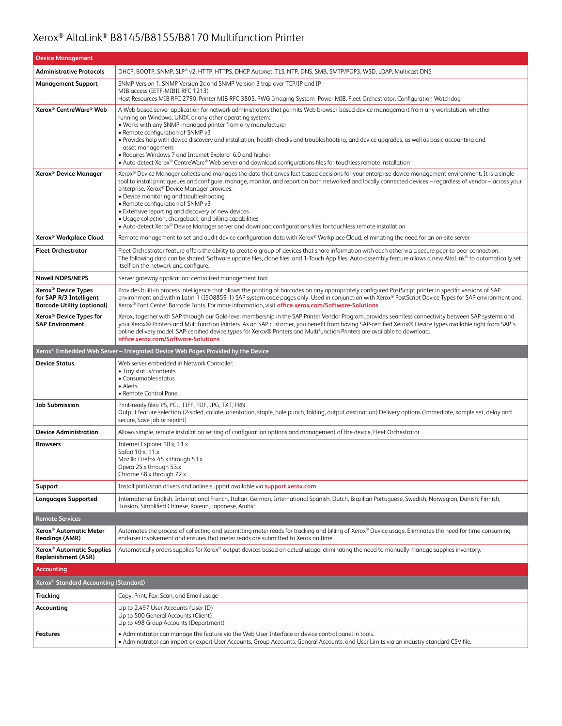| <b>Device Management</b>                                                                        |                                                                                                                                                                                                                                                                                                                                                                                                                                                                                                                                                                                                                                                                                                       |  |  |
|-------------------------------------------------------------------------------------------------|-------------------------------------------------------------------------------------------------------------------------------------------------------------------------------------------------------------------------------------------------------------------------------------------------------------------------------------------------------------------------------------------------------------------------------------------------------------------------------------------------------------------------------------------------------------------------------------------------------------------------------------------------------------------------------------------------------|--|--|
| <b>Administrative Protocols</b>                                                                 | DHCP, BOOTP, SNMP, SLP® v2, HTTP, HTTPS, DHCP Autonet, TLS, NTP, DNS, SMB, SMTP/POP3, WSD, LDAP, Multicast DNS                                                                                                                                                                                                                                                                                                                                                                                                                                                                                                                                                                                        |  |  |
| <b>Management Support</b>                                                                       | SNMP Version 1. SNMP Version 2c and SNMP Version 3 trap over TCP/IP and IP<br>MIB access (IETF-MIBII RFC 1213)<br>Host Resources MIB RFC 2790, Printer MIB RFC 3805, PWG-Imaging-System- Power MIB, Fleet Orchestrator, Configuration Watchdog                                                                                                                                                                                                                                                                                                                                                                                                                                                        |  |  |
| Xerox <sup>®</sup> CentreWare® Web                                                              | A Web-based server application for network administrators that permits Web browser-based device management from any workstation, whether<br>running on Windows, UNIX, or any other operating system:<br>. Works with any SNMP-managed printer from any manufacturer<br>• Remote configuration of SNMP v3<br>• Provides help with device discovery and installation, health checks and troubleshooting, and device upgrades, as well as basic accounting and<br>asset management<br>• Requires Windows 7 and Internet Explorer 6.0 and higher<br>• Auto-detect Xerox® CentreWare® Web server and download configurations files for touchless remote installation                                       |  |  |
| Xerox <sup>®</sup> Device Manager                                                               | Xerox® Device Manager collects and manages the data that drives fact-based decisions for your enterprise device management environment. It is a single<br>tool to install print queues and configure, manage, monitor, and report on both networked and locally connected devices - regardless of vendor - across your<br>enterprise. Xerox <sup>®</sup> Device Manager provides:<br>• Device monitoring and troubleshooting<br>• Remote configuration of SNMP v3<br>• Extensive reporting and discovery of new devices<br>• Usage collection, chargeback, and billing capabilities<br>• Auto-detect Xerox® Device Manager server and download configurations files for touchless remote installation |  |  |
| Xerox <sup>®</sup> Workplace Cloud                                                              | Remote management to set and audit device configuration data with Xerox® Workplace Cloud, eliminating the need for an on-site server                                                                                                                                                                                                                                                                                                                                                                                                                                                                                                                                                                  |  |  |
| <b>Fleet Orchestrator</b>                                                                       | Fleet Orchestrator feature offers the ability to create a group of devices that share information with each other via a secure peer-to-peer connection.<br>The following data can be shared: Software update files, clone files, and 1-Touch App files. Auto-assembly feature allows a new AltaLink® to automatically set<br>itself on the network and configure.                                                                                                                                                                                                                                                                                                                                     |  |  |
| <b>Novell NDPS/NEPS</b>                                                                         | Server gateway application: centralized management tool                                                                                                                                                                                                                                                                                                                                                                                                                                                                                                                                                                                                                                               |  |  |
| Xerox <sup>®</sup> Device Types<br>for SAP R/3 Intelligent<br><b>Barcode Utility (optional)</b> | Provides built-in process intelligence that allows the printing of barcodes on any appropriately configured PostScript printer in specific versions of SAP<br>environment and within Latin-1 (ISO8859-1) SAP system code pages only. Used in conjunction with Xerox® PostScript Device Types for SAP environment and<br>Xerox® Font Center Barcode Fonts, For more information, visit office.xerox.com/Software-Solutions                                                                                                                                                                                                                                                                             |  |  |
| Xerox <sup>®</sup> Device Types for<br><b>SAP Environment</b>                                   | Xerox, together with SAP through our Gold-level membership in the SAP Printer Vendor Program, provides seamless connectivity between SAP systems and<br>your Xerox® Printers and Multifunction Printers. As an SAP customer, you benefit from having SAP-certified Xerox® Device types available right from SAP's<br>online delivery model. SAP-certified device types for Xerox® Printers and Multifunction Printers are available to download.<br>office.xerox.com/Software-Solutions                                                                                                                                                                                                               |  |  |
| Xerox® Embedded Web Server - Integrated Device Web Pages Provided by the Device                 |                                                                                                                                                                                                                                                                                                                                                                                                                                                                                                                                                                                                                                                                                                       |  |  |
|                                                                                                 |                                                                                                                                                                                                                                                                                                                                                                                                                                                                                                                                                                                                                                                                                                       |  |  |
| <b>Device Status</b>                                                                            | Web server embedded in Network Controller:<br>• Tray status/contents<br>• Consumables status<br>• Alerts<br>• Remote Control Panel                                                                                                                                                                                                                                                                                                                                                                                                                                                                                                                                                                    |  |  |
| <b>Job Submission</b>                                                                           | Print-ready files: PS, PCL, TIFF, PDF, JPG, TXT, PRN<br>Output feature selection (2-sided, collate, orientation, staple, hole punch, folding, output destination) Delivery options (Immediate, sample set, delay and<br>secure, Save job or reprint)                                                                                                                                                                                                                                                                                                                                                                                                                                                  |  |  |
| <b>Device Administration</b>                                                                    | Allows simple, remote installation setting of configuration options and management of the device, Fleet Orchestrator                                                                                                                                                                                                                                                                                                                                                                                                                                                                                                                                                                                  |  |  |
| <b>Browsers</b>                                                                                 | Internet Explorer 10.x, 11.x<br>Safari 10.x, 11.x<br>Mozilla Firefox 45.x through 53.x<br>Opera 25.x through 53.x<br>Chrome 48.x through 72.x                                                                                                                                                                                                                                                                                                                                                                                                                                                                                                                                                         |  |  |
| Support                                                                                         | Install print/scan drivers and online support available via support.xerox.com                                                                                                                                                                                                                                                                                                                                                                                                                                                                                                                                                                                                                         |  |  |
| <b>Languages Supported</b>                                                                      | International English, International French, Italian, German, International Spanish, Dutch, Brazilian Portuguese, Swedish, Norwegian, Danish, Finnish,<br>Russian, Simplified Chinese, Korean, Japanese, Arabic                                                                                                                                                                                                                                                                                                                                                                                                                                                                                       |  |  |
| <b>Remote Services</b>                                                                          |                                                                                                                                                                                                                                                                                                                                                                                                                                                                                                                                                                                                                                                                                                       |  |  |
| Xerox <sup>®</sup> Automatic Meter<br><b>Readings (AMR)</b>                                     | Automates the process of collecting and submitting meter reads for tracking and billing of Xerox® Device usage. Eliminates the need for time-consuming<br>end-user involvement and ensures that meter reads are submitted to Xerox on time.                                                                                                                                                                                                                                                                                                                                                                                                                                                           |  |  |
| Xerox <sup>®</sup> Automatic Supplies<br><b>Replenishment (ASR)</b>                             | Automatically orders supplies for Xerox® output devices based on actual usage, eliminating the need to manually manage supplies inventory.                                                                                                                                                                                                                                                                                                                                                                                                                                                                                                                                                            |  |  |
| <b>Accounting</b>                                                                               |                                                                                                                                                                                                                                                                                                                                                                                                                                                                                                                                                                                                                                                                                                       |  |  |
| Xerox <sup>®</sup> Standard Accounting (Standard)                                               |                                                                                                                                                                                                                                                                                                                                                                                                                                                                                                                                                                                                                                                                                                       |  |  |
| Tracking                                                                                        | Copy, Print, Fax, Scan, and Email usage                                                                                                                                                                                                                                                                                                                                                                                                                                                                                                                                                                                                                                                               |  |  |
| Accounting                                                                                      | Up to 2,497 User Accounts (User ID)<br>Up to 500 General Accounts (Client)<br>Up to 498 Group Accounts (Department)                                                                                                                                                                                                                                                                                                                                                                                                                                                                                                                                                                                   |  |  |